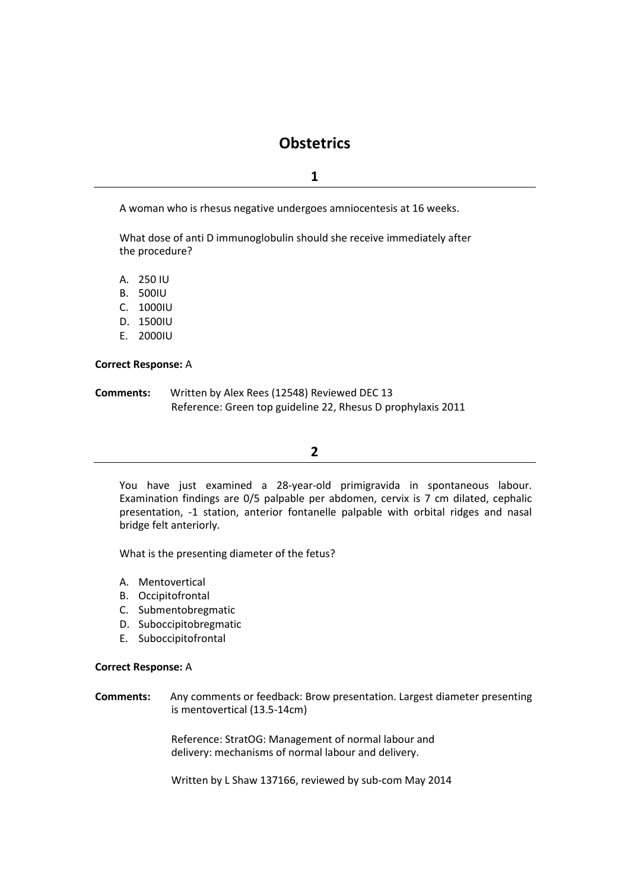# **Obstetrics**

## **1**

A woman who is rhesus negative undergoes amniocentesis at 16 weeks.

What dose of anti D immunoglobulin should she receive immediately after the procedure?

- A. 250 IU
- B. 500IU
- C. 1000IU
- D. 1500IU
- E. 2000IU

#### **Correct Response:** A

**Comments:** Written by Alex Rees (12548) Reviewed DEC 13 Reference: Green top guideline 22, Rhesus D prophylaxis 2011

## **2**

You have just examined a 28-year-old primigravida in spontaneous labour. Examination findings are 0/5 palpable per abdomen, cervix is 7 cm dilated, cephalic presentation, -1 station, anterior fontanelle palpable with orbital ridges and nasal bridge felt anteriorly.

What is the presenting diameter of the fetus?

- A. Mentovertical
- B. Occipitofrontal
- C. Submentobregmatic
- D. Suboccipitobregmatic
- E. Suboccipitofrontal

#### **Correct Response:** A

#### **Comments:** Any comments or feedback: Brow presentation. Largest diameter presenting is mentovertical (13.5-14cm)

Reference: StratOG: Management of normal labour and delivery: mechanisms of normal labour and delivery.

Written by L Shaw 137166, reviewed by sub-com May 2014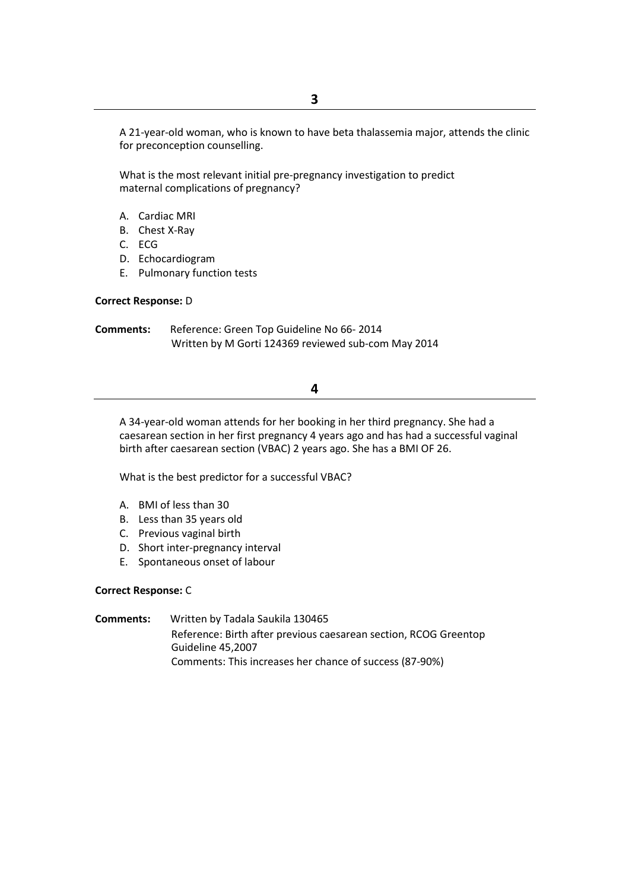A 21-year-old woman, who is known to have beta thalassemia major, attends the clinic for preconception counselling.

What is the most relevant initial pre-pregnancy investigation to predict maternal complications of pregnancy?

- A. Cardiac MRI
- B. Chest X-Ray
- C. ECG
- D. Echocardiogram
- E. Pulmonary function tests

#### **Correct Response:** D

**Comments:** Reference: Green Top Guideline No 66- 2014 Written by M Gorti 124369 reviewed sub-com May 2014

## **4**

A 34-year-old woman attends for her booking in her third pregnancy. She had a caesarean section in her first pregnancy 4 years ago and has had a successful vaginal birth after caesarean section (VBAC) 2 years ago. She has a BMI OF 26.

What is the best predictor for a successful VBAC?

- A. BMI of less than 30
- B. Less than 35 years old
- C. Previous vaginal birth
- D. Short inter-pregnancy interval
- E. Spontaneous onset of labour

#### **Correct Response:** C

**Comments:** Written by Tadala Saukila 130465 Reference: Birth after previous caesarean section, RCOG Greentop Guideline 45,2007 Comments: This increases her chance of success (87-90%)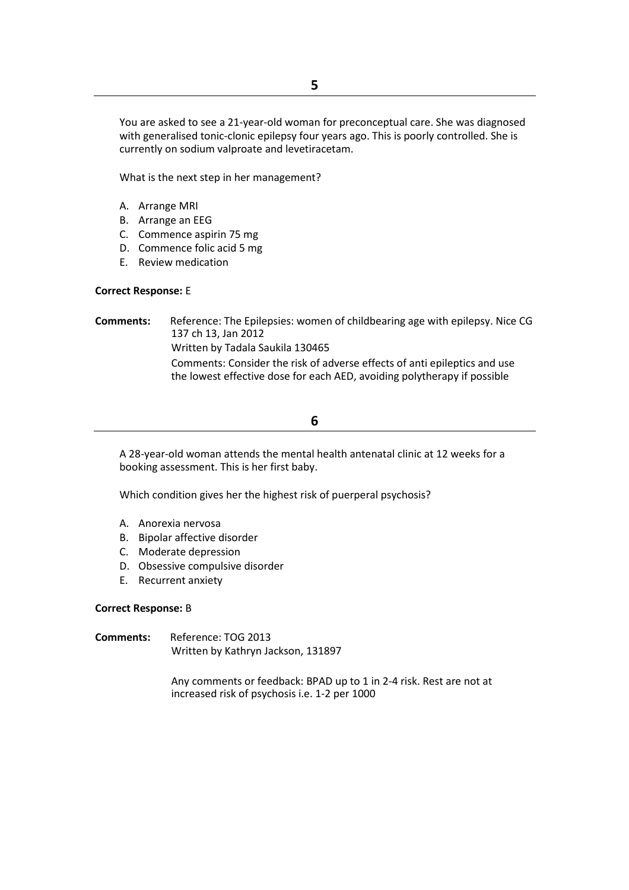You are asked to see a 21-year-old woman for preconceptual care. She was diagnosed with generalised tonic-clonic epilepsy four years ago. This is poorly controlled. She is currently on sodium valproate and levetiracetam.

What is the next step in her management?

- A. Arrange MRI
- B. Arrange an EEG
- C. Commence aspirin 75 mg
- D. Commence folic acid 5 mg
- E. Review medication

#### **Correct Response:** E

**Comments:** Reference: The Epilepsies: women of childbearing age with epilepsy. Nice CG 137 ch 13, Jan 2012 Written by Tadala Saukila 130465 Comments: Consider the risk of adverse effects of anti epileptics and use the lowest effective dose for each AED, avoiding polytherapy if possible

# **6**

A 28-year-old woman attends the mental health antenatal clinic at 12 weeks for a booking assessment. This is her first baby.

Which condition gives her the highest risk of puerperal psychosis?

- A. Anorexia nervosa
- B. Bipolar affective disorder
- C. Moderate depression
- D. Obsessive compulsive disorder
- E. Recurrent anxiety

#### **Correct Response:** B

**Comments:** Reference: TOG 2013 Written by Kathryn Jackson, 131897

> Any comments or feedback: BPAD up to 1 in 2-4 risk. Rest are not at increased risk of psychosis i.e. 1-2 per 1000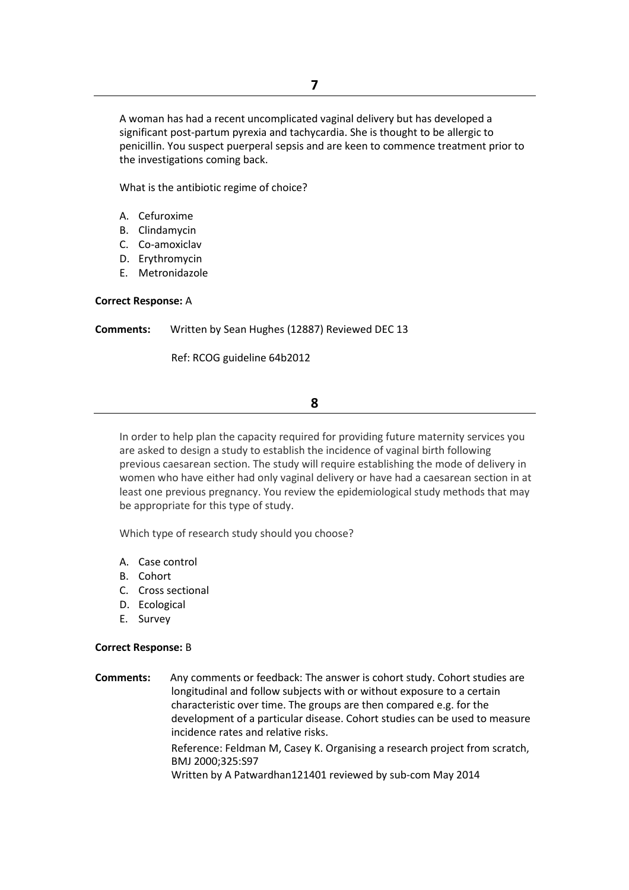A woman has had a recent uncomplicated vaginal delivery but has developed a significant post-partum pyrexia and tachycardia. She is thought to be allergic to penicillin. You suspect puerperal sepsis and are keen to commence treatment prior to the investigations coming back.

What is the antibiotic regime of choice?

- A. Cefuroxime
- B. Clindamycin
- C. Co-amoxiclav
- D. Erythromycin
- E. Metronidazole

#### **Correct Response:** A

**Comments:** Written by Sean Hughes (12887) Reviewed DEC 13

Ref: RCOG guideline 64b2012

# **8**

In order to help plan the capacity required for providing future maternity services you are asked to design a study to establish the incidence of vaginal birth following previous caesarean section. The study will require establishing the mode of delivery in women who have either had only vaginal delivery or have had a caesarean section in at least one previous pregnancy. You review the epidemiological study methods that may be appropriate for this type of study.

Which type of research study should you choose?

- A. Case control
- B. Cohort
- C. Cross sectional
- D. Ecological
- E. Survey

#### **Correct Response:** B

**Comments:** Any comments or feedback: The answer is cohort study. Cohort studies are longitudinal and follow subjects with or without exposure to a certain characteristic over time. The groups are then compared e.g. for the development of a particular disease. Cohort studies can be used to measure incidence rates and relative risks. Reference: Feldman M, Casey K. Organising a research project from scratch, BMJ 2000;325:S97 Written by A Patwardhan121401 reviewed by sub-com May 2014